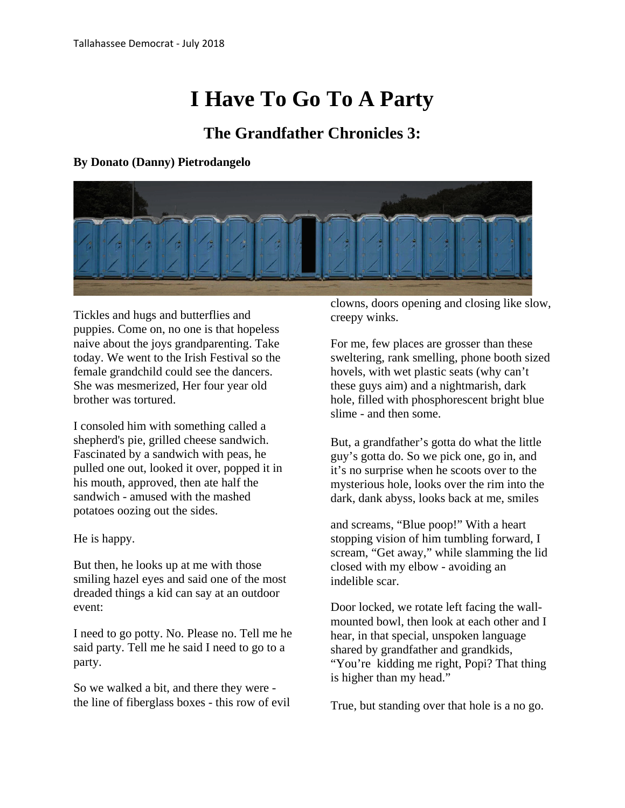## **I Have To Go To A Party**

## **The Grandfather Chronicles 3:**

## **By Donato (Danny) Pietrodangelo**



Tickles and hugs and butterflies and puppies. Come on, no one is that hopeless naive about the joys grandparenting. Take today. We went to the Irish Festival so the female grandchild could see the dancers. She was mesmerized, Her four year old brother was tortured.

I consoled him with something called a shepherd's pie, grilled cheese sandwich. Fascinated by a sandwich with peas, he pulled one out, looked it over, popped it in his mouth, approved, then ate half the sandwich - amused with the mashed potatoes oozing out the sides.

He is happy.

But then, he looks up at me with those smiling hazel eyes and said one of the most dreaded things a kid can say at an outdoor event:

I need to go potty. No. Please no. Tell me he said party. Tell me he said I need to go to a party.

So we walked a bit, and there they were the line of fiberglass boxes - this row of evil clowns, doors opening and closing like slow, creepy winks.

For me, few places are grosser than these sweltering, rank smelling, phone booth sized hovels, with wet plastic seats (why can't these guys aim) and a nightmarish, dark hole, filled with phosphorescent bright blue slime - and then some.

But, a grandfather's gotta do what the little guy's gotta do. So we pick one, go in, and it's no surprise when he scoots over to the mysterious hole, looks over the rim into the dark, dank abyss, looks back at me, smiles

and screams, "Blue poop!" With a heart stopping vision of him tumbling forward, I scream, "Get away," while slamming the lid closed with my elbow - avoiding an indelible scar.

Door locked, we rotate left facing the wallmounted bowl, then look at each other and I hear, in that special, unspoken language shared by grandfather and grandkids, "You're kidding me right, Popi? That thing is higher than my head."

True, but standing over that hole is a no go.